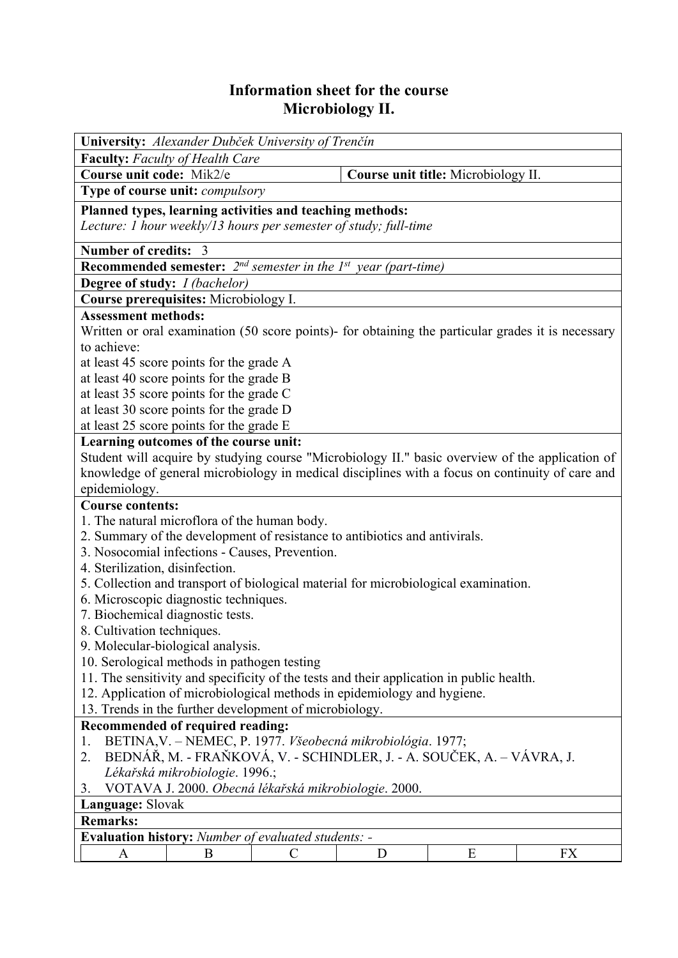## **Information sheet for the course Microbiology II.**

| University: Alexander Dubček University of Trenčín                                                                     |   |                                     |           |  |  |  |  |
|------------------------------------------------------------------------------------------------------------------------|---|-------------------------------------|-----------|--|--|--|--|
| <b>Faculty:</b> Faculty of Health Care                                                                                 |   |                                     |           |  |  |  |  |
| Course unit code: Mik2/e                                                                                               |   | Course unit title: Microbiology II. |           |  |  |  |  |
| Type of course unit: compulsory                                                                                        |   |                                     |           |  |  |  |  |
| Planned types, learning activities and teaching methods:                                                               |   |                                     |           |  |  |  |  |
| Lecture: 1 hour weekly/13 hours per semester of study; full-time                                                       |   |                                     |           |  |  |  |  |
| Number of credits: 3                                                                                                   |   |                                     |           |  |  |  |  |
| Recommended semester: $2^{nd}$ semester in the $1^{st}$ year (part-time)                                               |   |                                     |           |  |  |  |  |
| <b>Degree of study:</b> <i>I (bachelor)</i>                                                                            |   |                                     |           |  |  |  |  |
| Course prerequisites: Microbiology I.                                                                                  |   |                                     |           |  |  |  |  |
| <b>Assessment methods:</b>                                                                                             |   |                                     |           |  |  |  |  |
| Written or oral examination (50 score points)- for obtaining the particular grades it is necessary                     |   |                                     |           |  |  |  |  |
| to achieve:                                                                                                            |   |                                     |           |  |  |  |  |
| at least 45 score points for the grade A                                                                               |   |                                     |           |  |  |  |  |
| at least 40 score points for the grade B                                                                               |   |                                     |           |  |  |  |  |
| at least 35 score points for the grade C                                                                               |   |                                     |           |  |  |  |  |
| at least 30 score points for the grade D                                                                               |   |                                     |           |  |  |  |  |
| at least 25 score points for the grade E                                                                               |   |                                     |           |  |  |  |  |
| Learning outcomes of the course unit:                                                                                  |   |                                     |           |  |  |  |  |
| Student will acquire by studying course "Microbiology II." basic overview of the application of                        |   |                                     |           |  |  |  |  |
| knowledge of general microbiology in medical disciplines with a focus on continuity of care and                        |   |                                     |           |  |  |  |  |
| epidemiology.                                                                                                          |   |                                     |           |  |  |  |  |
| <b>Course contents:</b>                                                                                                |   |                                     |           |  |  |  |  |
| 1. The natural microflora of the human body.                                                                           |   |                                     |           |  |  |  |  |
| 2. Summary of the development of resistance to antibiotics and antivirals.                                             |   |                                     |           |  |  |  |  |
| 3. Nosocomial infections - Causes, Prevention.                                                                         |   |                                     |           |  |  |  |  |
| 4. Sterilization, disinfection.<br>5. Collection and transport of biological material for microbiological examination. |   |                                     |           |  |  |  |  |
| 6. Microscopic diagnostic techniques.                                                                                  |   |                                     |           |  |  |  |  |
|                                                                                                                        |   |                                     |           |  |  |  |  |
| 7. Biochemical diagnostic tests.<br>8. Cultivation techniques.                                                         |   |                                     |           |  |  |  |  |
| 9. Molecular-biological analysis.                                                                                      |   |                                     |           |  |  |  |  |
| 10. Serological methods in pathogen testing                                                                            |   |                                     |           |  |  |  |  |
| 11. The sensitivity and specificity of the tests and their application in public health.                               |   |                                     |           |  |  |  |  |
| 12. Application of microbiological methods in epidemiology and hygiene.                                                |   |                                     |           |  |  |  |  |
| 13. Trends in the further development of microbiology.                                                                 |   |                                     |           |  |  |  |  |
| Recommended of required reading:                                                                                       |   |                                     |           |  |  |  |  |
| BETINA, V. – NEMEC, P. 1977. Všeobecná mikrobiológia. 1977;<br>1.                                                      |   |                                     |           |  |  |  |  |
| BEDNÁŘ, M. - FRAŇKOVÁ, V. - SCHINDLER, J. - A. SOUČEK, A. – VÁVRA, J.<br>2.                                            |   |                                     |           |  |  |  |  |
| Lékařská mikrobiologie. 1996.;                                                                                         |   |                                     |           |  |  |  |  |
| VOTAVA J. 2000. Obecná lékařská mikrobiologie. 2000.<br>3.                                                             |   |                                     |           |  |  |  |  |
| Language: Slovak                                                                                                       |   |                                     |           |  |  |  |  |
| <b>Remarks:</b>                                                                                                        |   |                                     |           |  |  |  |  |
| Evaluation history: Number of evaluated students: -                                                                    |   |                                     |           |  |  |  |  |
| B<br>$\mathsf{C}$<br>A                                                                                                 | D | E                                   | <b>FX</b> |  |  |  |  |